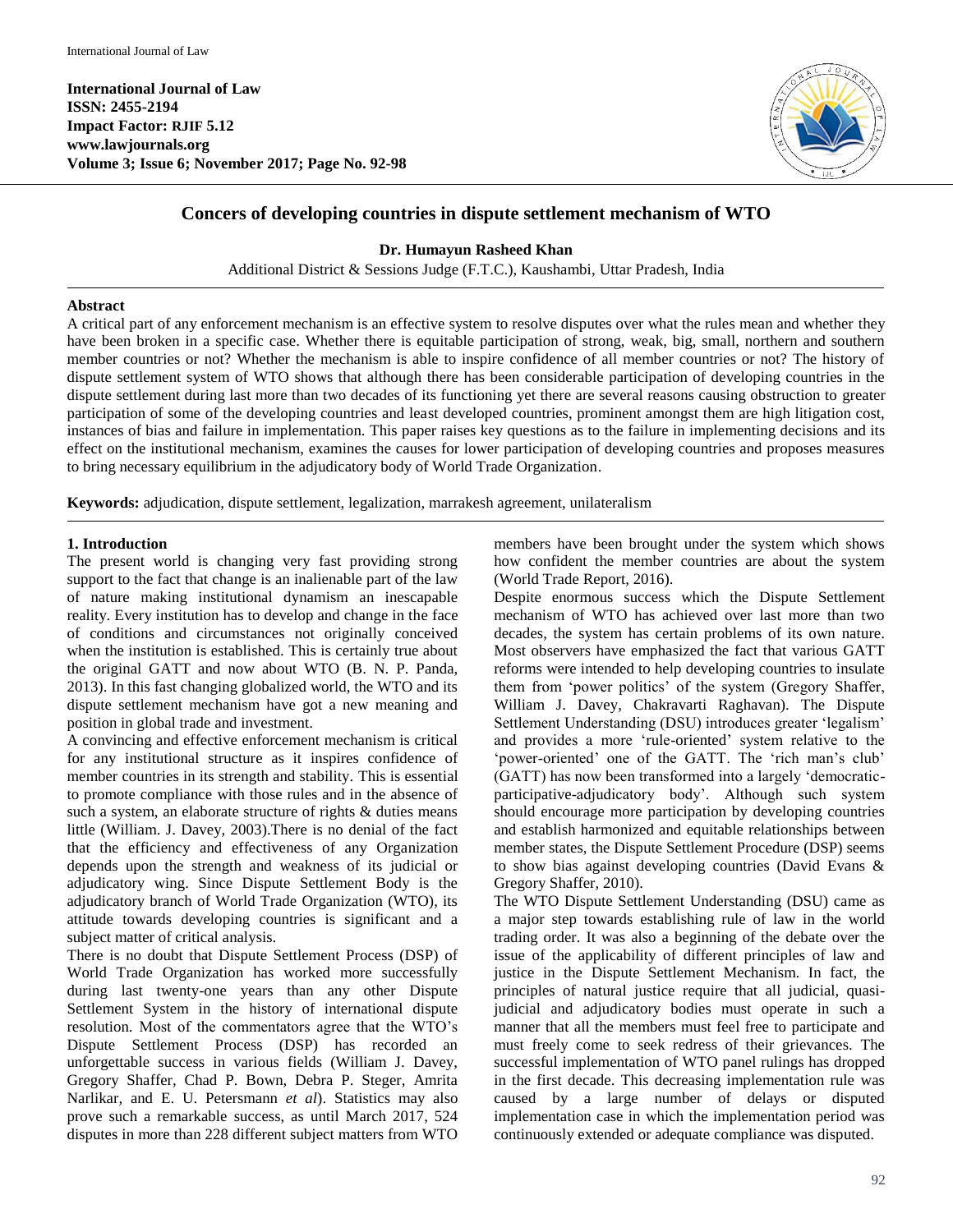**International Journal of Law ISSN: 2455-2194 Impact Factor: RJIF 5.12 www.lawjournals.org Volume 3; Issue 6; November 2017; Page No. 92-98**



# **Concers of developing countries in dispute settlement mechanism of WTO**

**Dr. Humayun Rasheed Khan**

Additional District & Sessions Judge (F.T.C.), Kaushambi, Uttar Pradesh, India

#### **Abstract**

A critical part of any enforcement mechanism is an effective system to resolve disputes over what the rules mean and whether they have been broken in a specific case. Whether there is equitable participation of strong, weak, big, small, northern and southern member countries or not? Whether the mechanism is able to inspire confidence of all member countries or not? The history of dispute settlement system of WTO shows that although there has been considerable participation of developing countries in the dispute settlement during last more than two decades of its functioning yet there are several reasons causing obstruction to greater participation of some of the developing countries and least developed countries, prominent amongst them are high litigation cost, instances of bias and failure in implementation. This paper raises key questions as to the failure in implementing decisions and its effect on the institutional mechanism, examines the causes for lower participation of developing countries and proposes measures to bring necessary equilibrium in the adjudicatory body of World Trade Organization.

**Keywords:** adjudication, dispute settlement, legalization, marrakesh agreement, unilateralism

## **1. Introduction**

The present world is changing very fast providing strong support to the fact that change is an inalienable part of the law of nature making institutional dynamism an inescapable reality. Every institution has to develop and change in the face of conditions and circumstances not originally conceived when the institution is established. This is certainly true about the original GATT and now about WTO (B. N. P. Panda, 2013). In this fast changing globalized world, the WTO and its dispute settlement mechanism have got a new meaning and position in global trade and investment.

A convincing and effective enforcement mechanism is critical for any institutional structure as it inspires confidence of member countries in its strength and stability. This is essential to promote compliance with those rules and in the absence of such a system, an elaborate structure of rights & duties means little (William. J. Davey, 2003).There is no denial of the fact that the efficiency and effectiveness of any Organization depends upon the strength and weakness of its judicial or adjudicatory wing. Since Dispute Settlement Body is the adjudicatory branch of World Trade Organization (WTO), its attitude towards developing countries is significant and a subject matter of critical analysis.

There is no doubt that Dispute Settlement Process (DSP) of World Trade Organization has worked more successfully during last twenty-one years than any other Dispute Settlement System in the history of international dispute resolution. Most of the commentators agree that the WTO's Dispute Settlement Process (DSP) has recorded an unforgettable success in various fields (William J. Davey, Gregory Shaffer, Chad P. Bown, Debra P. Steger, Amrita Narlikar, and E. U. Petersmann *et al*). Statistics may also prove such a remarkable success, as until March 2017, 524 disputes in more than 228 different subject matters from WTO

members have been brought under the system which shows how confident the member countries are about the system (World Trade Report, 2016).

Despite enormous success which the Dispute Settlement mechanism of WTO has achieved over last more than two decades, the system has certain problems of its own nature. Most observers have emphasized the fact that various GATT reforms were intended to help developing countries to insulate them from 'power politics' of the system (Gregory Shaffer, William J. Davey, Chakravarti Raghavan). The Dispute Settlement Understanding (DSU) introduces greater 'legalism' and provides a more 'rule-oriented' system relative to the 'power-oriented' one of the GATT. The 'rich man's club' (GATT) has now been transformed into a largely 'democraticparticipative-adjudicatory body'. Although such system should encourage more participation by developing countries and establish harmonized and equitable relationships between member states, the Dispute Settlement Procedure (DSP) seems to show bias against developing countries (David Evans & Gregory Shaffer, 2010).

The WTO Dispute Settlement Understanding (DSU) came as a major step towards establishing rule of law in the world trading order. It was also a beginning of the debate over the issue of the applicability of different principles of law and justice in the Dispute Settlement Mechanism. In fact, the principles of natural justice require that all judicial, quasijudicial and adjudicatory bodies must operate in such a manner that all the members must feel free to participate and must freely come to seek redress of their grievances. The successful implementation of WTO panel rulings has dropped in the first decade. This decreasing implementation rule was caused by a large number of delays or disputed implementation case in which the implementation period was continuously extended or adequate compliance was disputed.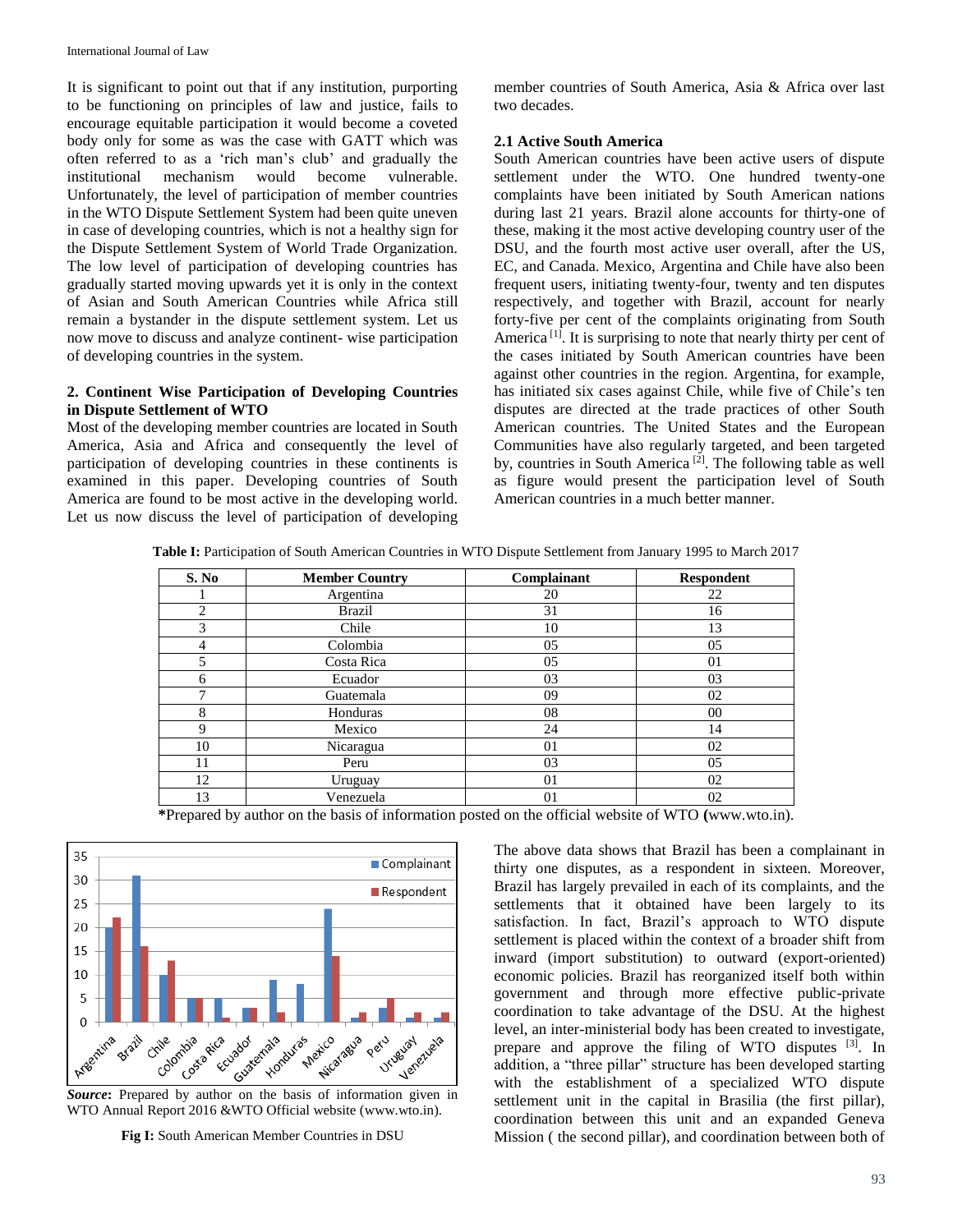It is significant to point out that if any institution, purporting to be functioning on principles of law and justice, fails to encourage equitable participation it would become a coveted body only for some as was the case with GATT which was often referred to as a 'rich man's club' and gradually the institutional mechanism would become vulnerable. Unfortunately, the level of participation of member countries in the WTO Dispute Settlement System had been quite uneven in case of developing countries, which is not a healthy sign for the Dispute Settlement System of World Trade Organization. The low level of participation of developing countries has gradually started moving upwards yet it is only in the context of Asian and South American Countries while Africa still remain a bystander in the dispute settlement system. Let us now move to discuss and analyze continent- wise participation of developing countries in the system.

## **2. Continent Wise Participation of Developing Countries in Dispute Settlement of WTO**

Most of the developing member countries are located in South America, Asia and Africa and consequently the level of participation of developing countries in these continents is examined in this paper. Developing countries of South America are found to be most active in the developing world. Let us now discuss the level of participation of developing

member countries of South America, Asia & Africa over last two decades.

#### **2.1 Active South America**

South American countries have been active users of dispute settlement under the WTO. One hundred twenty-one complaints have been initiated by South American nations during last 21 years. Brazil alone accounts for thirty-one of these, making it the most active developing country user of the DSU, and the fourth most active user overall, after the US, EC, and Canada. Mexico, Argentina and Chile have also been frequent users, initiating twenty-four, twenty and ten disputes respectively, and together with Brazil, account for nearly forty-five per cent of the complaints originating from South America<sup>[1]</sup>. It is surprising to note that nearly thirty per cent of the cases initiated by South American countries have been against other countries in the region. Argentina, for example, has initiated six cases against Chile, while five of Chile's ten disputes are directed at the trade practices of other South American countries. The United States and the European Communities have also regularly targeted, and been targeted by, countries in South America<sup>[2]</sup>. The following table as well as figure would present the participation level of South American countries in a much better manner.

**Table I:** Participation of South American Countries in WTO Dispute Settlement from January 1995 to March 2017

| S. No | <b>Member Country</b> | Complainant | Respondent |
|-------|-----------------------|-------------|------------|
|       | Argentina             | 20          | 22         |
| 2     | <b>Brazil</b>         | 31          | 16         |
| 3     | Chile                 | 10          | 13         |
| 4     | Colombia              | 05          | 05         |
| 5     | Costa Rica            | 05          | 01         |
| 6     | Ecuador               | 03          | 03         |
| ⇁     | Guatemala             | 09          | 02         |
| 8     | Honduras              | 08          | 00         |
| 9     | Mexico                | 24          | 14         |
| 10    | Nicaragua             | 01          | 02         |
| 11    | Peru                  | 03          | 05         |
| 12    | Uruguay               | 01          | 02         |
| 13    | Venezuela             | 01          | 02         |

**\***Prepared by author on the basis of information posted on the official website of WTO **(**www.wto.in).



WTO Annual Report 2016 &WTO Official website (www.wto.in).

**Fig I:** South American Member Countries in DSU

The above data shows that Brazil has been a complainant in thirty one disputes, as a respondent in sixteen. Moreover, Brazil has largely prevailed in each of its complaints, and the settlements that it obtained have been largely to its satisfaction. In fact, Brazil's approach to WTO dispute settlement is placed within the context of a broader shift from inward (import substitution) to outward (export-oriented) economic policies. Brazil has reorganized itself both within government and through more effective public-private coordination to take advantage of the DSU. At the highest level, an inter-ministerial body has been created to investigate, prepare and approve the filing of WTO disputes [3]. In addition, a "three pillar" structure has been developed starting with the establishment of a specialized WTO dispute settlement unit in the capital in Brasilia (the first pillar), coordination between this unit and an expanded Geneva Mission ( the second pillar), and coordination between both of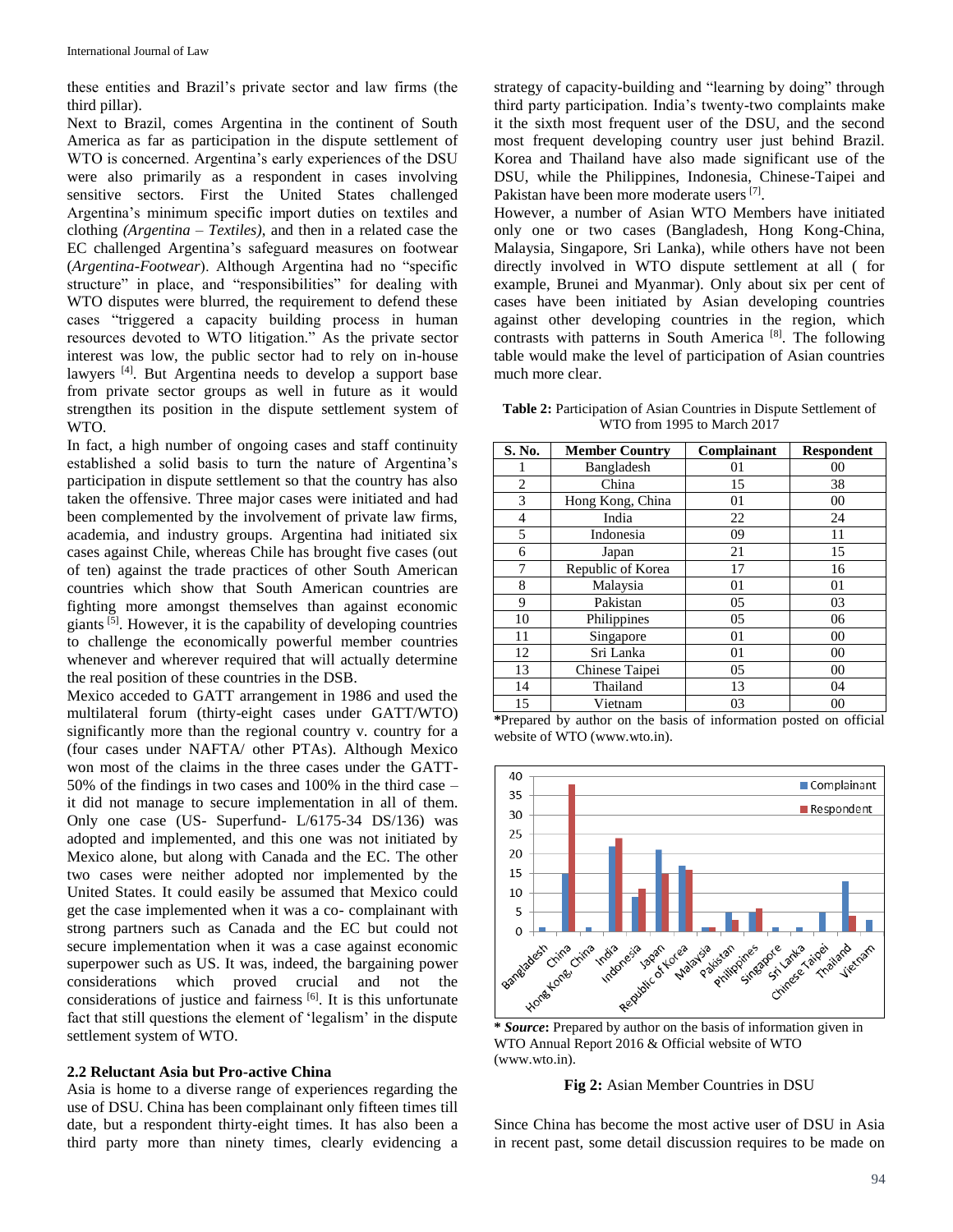these entities and Brazil's private sector and law firms (the third pillar).

Next to Brazil, comes Argentina in the continent of South America as far as participation in the dispute settlement of WTO is concerned. Argentina's early experiences of the DSU were also primarily as a respondent in cases involving sensitive sectors. First the United States challenged Argentina's minimum specific import duties on textiles and clothing *(Argentina – Textiles)*, and then in a related case the EC challenged Argentina's safeguard measures on footwear (*Argentina-Footwear*). Although Argentina had no "specific structure" in place, and "responsibilities" for dealing with WTO disputes were blurred, the requirement to defend these cases "triggered a capacity building process in human resources devoted to WTO litigation." As the private sector interest was low, the public sector had to rely on in-house lawyers<sup>[4]</sup>. But Argentina needs to develop a support base from private sector groups as well in future as it would strengthen its position in the dispute settlement system of WTO.

In fact, a high number of ongoing cases and staff continuity established a solid basis to turn the nature of Argentina's participation in dispute settlement so that the country has also taken the offensive. Three major cases were initiated and had been complemented by the involvement of private law firms, academia, and industry groups. Argentina had initiated six cases against Chile, whereas Chile has brought five cases (out of ten) against the trade practices of other South American countries which show that South American countries are fighting more amongst themselves than against economic giants<sup>[5]</sup>. However, it is the capability of developing countries to challenge the economically powerful member countries whenever and wherever required that will actually determine the real position of these countries in the DSB.

Mexico acceded to GATT arrangement in 1986 and used the multilateral forum (thirty-eight cases under GATT/WTO) significantly more than the regional country v. country for a (four cases under NAFTA/ other PTAs). Although Mexico won most of the claims in the three cases under the GATT-50% of the findings in two cases and 100% in the third case – it did not manage to secure implementation in all of them. Only one case (US- Superfund- L/6175-34 DS/136) was adopted and implemented, and this one was not initiated by Mexico alone, but along with Canada and the EC. The other two cases were neither adopted nor implemented by the United States. It could easily be assumed that Mexico could get the case implemented when it was a co- complainant with strong partners such as Canada and the EC but could not secure implementation when it was a case against economic superpower such as US. It was, indeed, the bargaining power considerations which proved crucial and not the considerations of justice and fairness [6]. It is this unfortunate fact that still questions the element of 'legalism' in the dispute settlement system of WTO.

#### **2.2 Reluctant Asia but Pro-active China**

Asia is home to a diverse range of experiences regarding the use of DSU. China has been complainant only fifteen times till date, but a respondent thirty-eight times. It has also been a third party more than ninety times, clearly evidencing a

strategy of capacity-building and "learning by doing" through third party participation. India's twenty-two complaints make it the sixth most frequent user of the DSU, and the second most frequent developing country user just behind Brazil. Korea and Thailand have also made significant use of the DSU, while the Philippines, Indonesia, Chinese-Taipei and Pakistan have been more moderate users<sup>[7]</sup>.

However, a number of Asian WTO Members have initiated only one or two cases (Bangladesh, Hong Kong-China, Malaysia, Singapore, Sri Lanka), while others have not been directly involved in WTO dispute settlement at all ( for example, Brunei and Myanmar). Only about six per cent of cases have been initiated by Asian developing countries against other developing countries in the region, which contrasts with patterns in South America<sup>[8]</sup>. The following table would make the level of participation of Asian countries much more clear.

Table 2: Participation of Asian Countries in Dispute Settlement of WTO from 1995 to March 2017

| S. No.         | <b>Member Country</b> | Complainant | <b>Respondent</b> |
|----------------|-----------------------|-------------|-------------------|
|                | Bangladesh            | 01          | 00                |
| $\overline{2}$ | China                 | 15          | 38                |
| 3              | Hong Kong, China      | 01          | 00                |
| $\overline{4}$ | India                 | 22          | 24                |
| 5              | Indonesia             | 09          | 11                |
| 6              | Japan                 | 21          | 15                |
| 7              | Republic of Korea     | 17          | 16                |
| 8              | Malaysia              | 01          | 01                |
| 9              | Pakistan              | 05          | 03                |
| 10             | Philippines           | 05          | 06                |
| 11             | Singapore             | 01          | 00                |
| 12             | Sri Lanka             | 01          | 00                |
| 13             | Chinese Taipei        | 05          | 00                |
| 14             | Thailand              | 13          | 04                |
| 15             | Vietnam               | 03          | 00                |

**\***Prepared by author on the basis of information posted on official website of WTO (www.wto.in).



WTO Annual Report 2016 & Official website of WTO (www.wto.in).



Since China has become the most active user of DSU in Asia in recent past, some detail discussion requires to be made on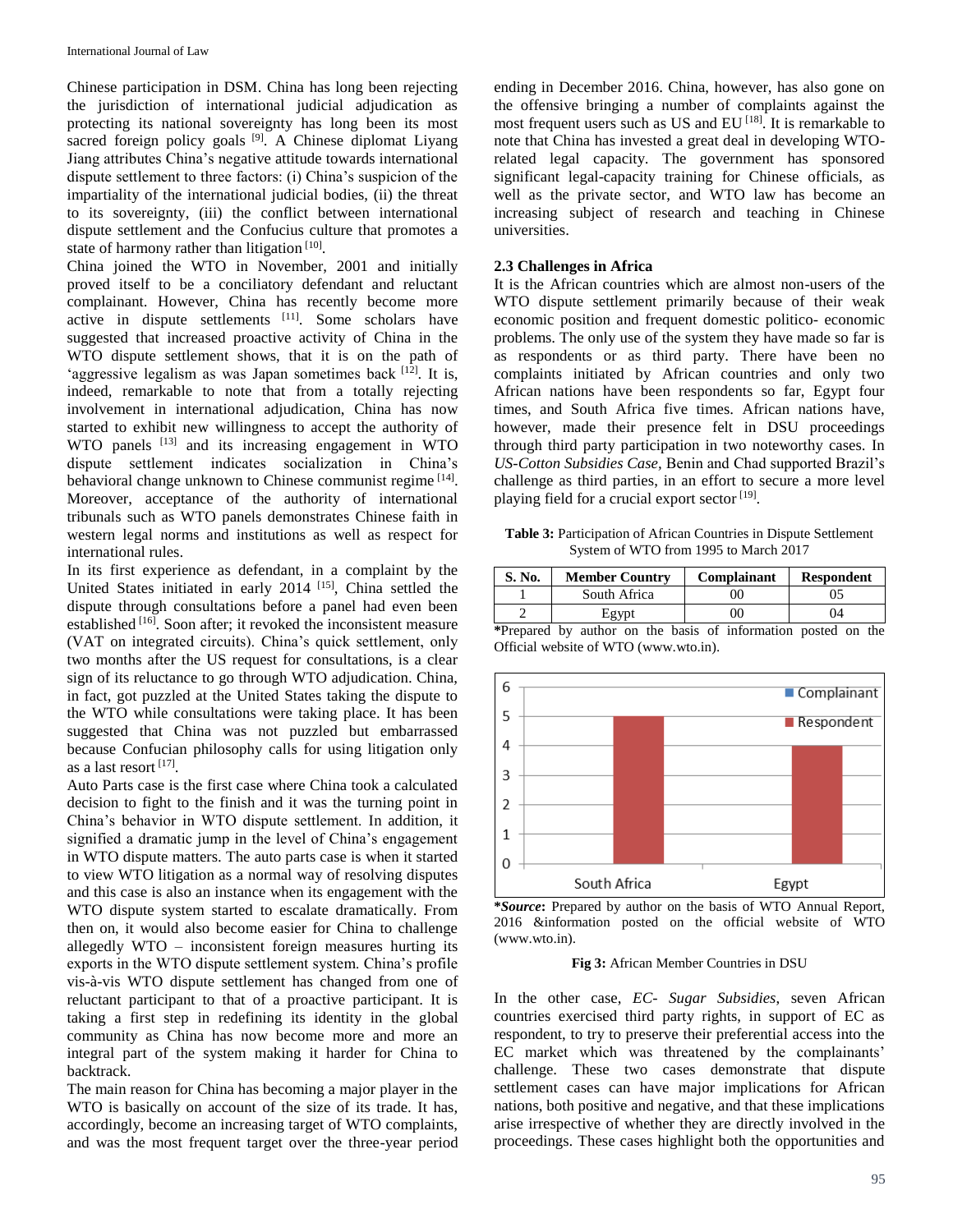Chinese participation in DSM. China has long been rejecting the jurisdiction of international judicial adjudication as protecting its national sovereignty has long been its most sacred foreign policy goals  $[9]$ . A Chinese diplomat Liyang Jiang attributes China's negative attitude towards international dispute settlement to three factors: (i) China's suspicion of the impartiality of the international judicial bodies, (ii) the threat to its sovereignty, (iii) the conflict between international dispute settlement and the Confucius culture that promotes a state of harmony rather than litigation  $[10]$ .

China joined the WTO in November, 2001 and initially proved itself to be a conciliatory defendant and reluctant complainant. However, China has recently become more active in dispute settlements [11]. Some scholars have suggested that increased proactive activity of China in the WTO dispute settlement shows, that it is on the path of 'aggressive legalism as was Japan sometimes back [12]. It is, indeed, remarkable to note that from a totally rejecting involvement in international adjudication, China has now started to exhibit new willingness to accept the authority of WTO panels <sup>[13]</sup> and its increasing engagement in WTO dispute settlement indicates socialization in China's behavioral change unknown to Chinese communist regime [14]. Moreover, acceptance of the authority of international tribunals such as WTO panels demonstrates Chinese faith in western legal norms and institutions as well as respect for international rules.

In its first experience as defendant, in a complaint by the United States initiated in early 2014 [15], China settled the dispute through consultations before a panel had even been established <sup>[16]</sup>. Soon after; it revoked the inconsistent measure (VAT on integrated circuits). China's quick settlement, only two months after the US request for consultations, is a clear sign of its reluctance to go through WTO adjudication. China, in fact, got puzzled at the United States taking the dispute to the WTO while consultations were taking place. It has been suggested that China was not puzzled but embarrassed because Confucian philosophy calls for using litigation only as a last resort [17].

Auto Parts case is the first case where China took a calculated decision to fight to the finish and it was the turning point in China's behavior in WTO dispute settlement. In addition, it signified a dramatic jump in the level of China's engagement in WTO dispute matters. The auto parts case is when it started to view WTO litigation as a normal way of resolving disputes and this case is also an instance when its engagement with the WTO dispute system started to escalate dramatically. From then on, it would also become easier for China to challenge allegedly WTO – inconsistent foreign measures hurting its exports in the WTO dispute settlement system. China's profile vis-à-vis WTO dispute settlement has changed from one of reluctant participant to that of a proactive participant. It is taking a first step in redefining its identity in the global community as China has now become more and more an integral part of the system making it harder for China to backtrack.

The main reason for China has becoming a major player in the WTO is basically on account of the size of its trade. It has, accordingly, become an increasing target of WTO complaints, and was the most frequent target over the three-year period ending in December 2016. China, however, has also gone on the offensive bringing a number of complaints against the most frequent users such as US and EU<sup>[18]</sup>. It is remarkable to note that China has invested a great deal in developing WTOrelated legal capacity. The government has sponsored significant legal-capacity training for Chinese officials, as well as the private sector, and WTO law has become an increasing subject of research and teaching in Chinese universities.

### **2.3 Challenges in Africa**

It is the African countries which are almost non-users of the WTO dispute settlement primarily because of their weak economic position and frequent domestic politico- economic problems. The only use of the system they have made so far is as respondents or as third party. There have been no complaints initiated by African countries and only two African nations have been respondents so far, Egypt four times, and South Africa five times. African nations have, however, made their presence felt in DSU proceedings through third party participation in two noteworthy cases. In *US-Cotton Subsidies Case,* Benin and Chad supported Brazil's challenge as third parties, in an effort to secure a more level playing field for a crucial export sector [19].

**Table 3:** Participation of African Countries in Dispute Settlement System of WTO from 1995 to March 2017

| S. No. | <b>Member Country</b> | Complainant | Respondent |
|--------|-----------------------|-------------|------------|
|        | South Africa          | 90          | 15         |
|        | Egypt                 | ОC          | 14         |

**\***Prepared by author on the basis of information posted on the Official website of WTO (www.wto.in).





**Fig 3:** African Member Countries in DSU

In the other case, *EC- Sugar Subsidies*, seven African countries exercised third party rights, in support of EC as respondent, to try to preserve their preferential access into the EC market which was threatened by the complainants' challenge. These two cases demonstrate that dispute settlement cases can have major implications for African nations, both positive and negative, and that these implications arise irrespective of whether they are directly involved in the proceedings. These cases highlight both the opportunities and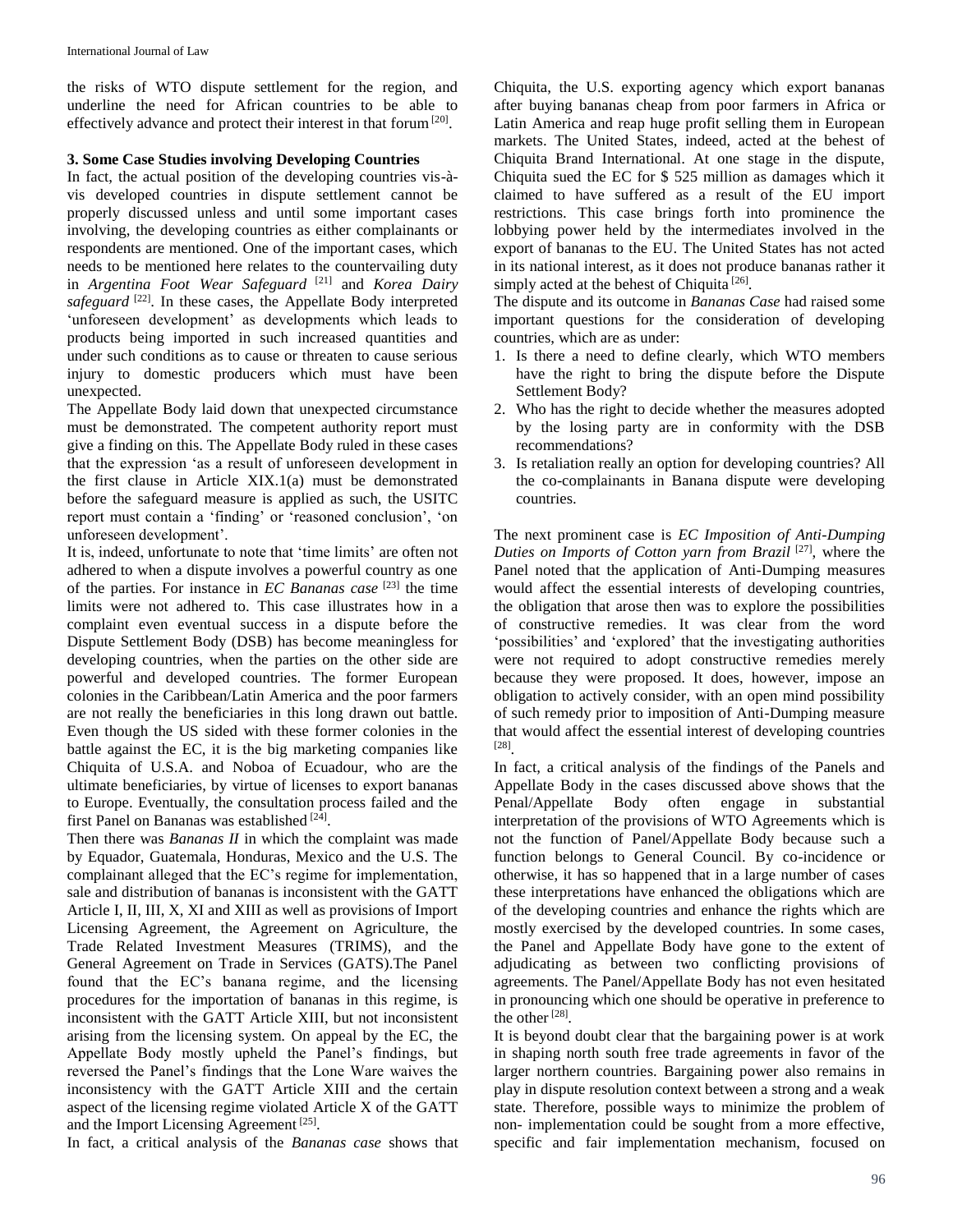the risks of WTO dispute settlement for the region, and underline the need for African countries to be able to effectively advance and protect their interest in that forum<sup>[20]</sup>.

### **3. Some Case Studies involving Developing Countries**

In fact, the actual position of the developing countries vis-àvis developed countries in dispute settlement cannot be properly discussed unless and until some important cases involving, the developing countries as either complainants or respondents are mentioned. One of the important cases, which needs to be mentioned here relates to the countervailing duty in *Argentina Foot Wear Safeguard* [21] and *Korea Dairy*  safeguard<sup>[22]</sup>. In these cases, the Appellate Body interpreted 'unforeseen development' as developments which leads to products being imported in such increased quantities and under such conditions as to cause or threaten to cause serious injury to domestic producers which must have been unexpected.

The Appellate Body laid down that unexpected circumstance must be demonstrated. The competent authority report must give a finding on this. The Appellate Body ruled in these cases that the expression 'as a result of unforeseen development in the first clause in Article XIX.1(a) must be demonstrated before the safeguard measure is applied as such, the USITC report must contain a 'finding' or 'reasoned conclusion', 'on unforeseen development'.

It is, indeed, unfortunate to note that 'time limits' are often not adhered to when a dispute involves a powerful country as one of the parties. For instance in *EC Bananas case* [23] the time limits were not adhered to. This case illustrates how in a complaint even eventual success in a dispute before the Dispute Settlement Body (DSB) has become meaningless for developing countries, when the parties on the other side are powerful and developed countries. The former European colonies in the Caribbean/Latin America and the poor farmers are not really the beneficiaries in this long drawn out battle. Even though the US sided with these former colonies in the battle against the EC, it is the big marketing companies like Chiquita of U.S.A. and Noboa of Ecuadour, who are the ultimate beneficiaries, by virtue of licenses to export bananas to Europe. Eventually, the consultation process failed and the first Panel on Bananas was established [24].

Then there was *Bananas II* in which the complaint was made by Equador, Guatemala, Honduras, Mexico and the U.S. The complainant alleged that the EC's regime for implementation, sale and distribution of bananas is inconsistent with the GATT Article I, II, III, X, XI and XIII as well as provisions of Import Licensing Agreement, the Agreement on Agriculture, the Trade Related Investment Measures (TRIMS), and the General Agreement on Trade in Services (GATS).The Panel found that the EC's banana regime, and the licensing procedures for the importation of bananas in this regime, is inconsistent with the GATT Article XIII, but not inconsistent arising from the licensing system. On appeal by the EC, the Appellate Body mostly upheld the Panel's findings, but reversed the Panel's findings that the Lone Ware waives the inconsistency with the GATT Article XIII and the certain aspect of the licensing regime violated Article X of the GATT and the Import Licensing Agreement<sup>[25]</sup>.

In fact, a critical analysis of the *Bananas case* shows that

Chiquita, the U.S. exporting agency which export bananas after buying bananas cheap from poor farmers in Africa or Latin America and reap huge profit selling them in European markets. The United States, indeed, acted at the behest of Chiquita Brand International. At one stage in the dispute, Chiquita sued the EC for \$ 525 million as damages which it claimed to have suffered as a result of the EU import restrictions. This case brings forth into prominence the lobbying power held by the intermediates involved in the export of bananas to the EU. The United States has not acted in its national interest, as it does not produce bananas rather it simply acted at the behest of Chiquita<sup>[26]</sup>.

The dispute and its outcome in *Bananas Case* had raised some important questions for the consideration of developing countries, which are as under:

- 1. Is there a need to define clearly, which WTO members have the right to bring the dispute before the Dispute Settlement Body?
- 2. Who has the right to decide whether the measures adopted by the losing party are in conformity with the DSB recommendations?
- 3. Is retaliation really an option for developing countries? All the co-complainants in Banana dispute were developing countries.

The next prominent case is *EC Imposition of Anti-Dumping*  Duties on Imports of Cotton yarn from Brazil<sup>[27]</sup>, where the Panel noted that the application of Anti-Dumping measures would affect the essential interests of developing countries, the obligation that arose then was to explore the possibilities of constructive remedies. It was clear from the word 'possibilities' and 'explored' that the investigating authorities were not required to adopt constructive remedies merely because they were proposed. It does, however, impose an obligation to actively consider, with an open mind possibility of such remedy prior to imposition of Anti-Dumping measure that would affect the essential interest of developing countries [28] .

In fact, a critical analysis of the findings of the Panels and Appellate Body in the cases discussed above shows that the Penal/Appellate Body often engage in substantial interpretation of the provisions of WTO Agreements which is not the function of Panel/Appellate Body because such a function belongs to General Council. By co-incidence or otherwise, it has so happened that in a large number of cases these interpretations have enhanced the obligations which are of the developing countries and enhance the rights which are mostly exercised by the developed countries. In some cases, the Panel and Appellate Body have gone to the extent of adjudicating as between two conflicting provisions of agreements. The Panel/Appellate Body has not even hesitated in pronouncing which one should be operative in preference to the other<sup>[28]</sup>.

It is beyond doubt clear that the bargaining power is at work in shaping north south free trade agreements in favor of the larger northern countries. Bargaining power also remains in play in dispute resolution context between a strong and a weak state. Therefore, possible ways to minimize the problem of non- implementation could be sought from a more effective, specific and fair implementation mechanism, focused on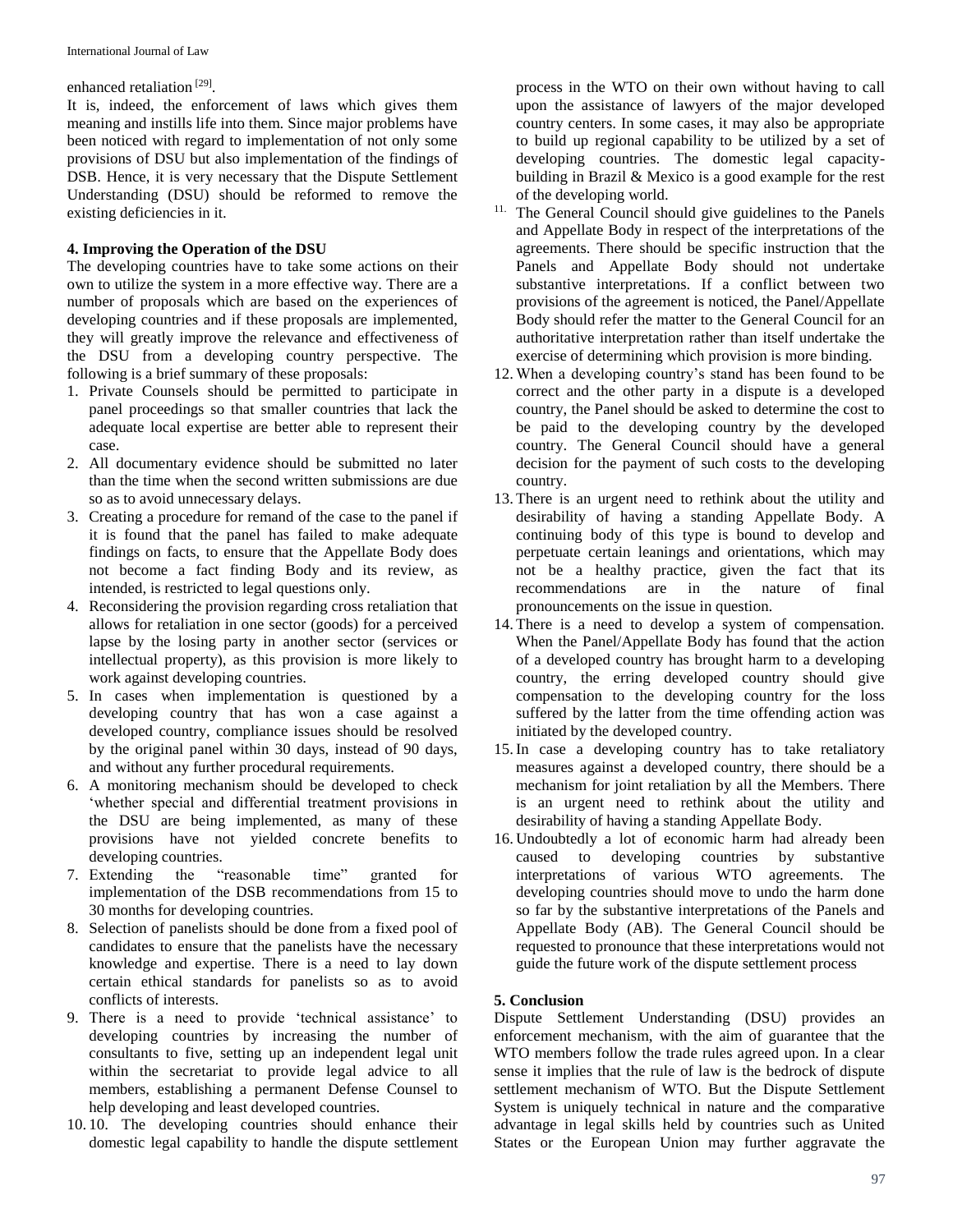### enhanced retaliation<sup>[29]</sup>.

It is, indeed, the enforcement of laws which gives them meaning and instills life into them. Since major problems have been noticed with regard to implementation of not only some provisions of DSU but also implementation of the findings of DSB. Hence, it is very necessary that the Dispute Settlement Understanding (DSU) should be reformed to remove the existing deficiencies in it.

## **4. Improving the Operation of the DSU**

The developing countries have to take some actions on their own to utilize the system in a more effective way. There are a number of proposals which are based on the experiences of developing countries and if these proposals are implemented, they will greatly improve the relevance and effectiveness of the DSU from a developing country perspective. The following is a brief summary of these proposals:

- 1. Private Counsels should be permitted to participate in panel proceedings so that smaller countries that lack the adequate local expertise are better able to represent their case.
- 2. All documentary evidence should be submitted no later than the time when the second written submissions are due so as to avoid unnecessary delays.
- 3. Creating a procedure for remand of the case to the panel if it is found that the panel has failed to make adequate findings on facts, to ensure that the Appellate Body does not become a fact finding Body and its review, as intended, is restricted to legal questions only.
- 4. Reconsidering the provision regarding cross retaliation that allows for retaliation in one sector (goods) for a perceived lapse by the losing party in another sector (services or intellectual property), as this provision is more likely to work against developing countries.
- 5. In cases when implementation is questioned by a developing country that has won a case against a developed country, compliance issues should be resolved by the original panel within 30 days, instead of 90 days, and without any further procedural requirements.
- 6. A monitoring mechanism should be developed to check 'whether special and differential treatment provisions in the DSU are being implemented, as many of these provisions have not yielded concrete benefits to developing countries.
- 7. Extending the "reasonable time" granted for implementation of the DSB recommendations from 15 to 30 months for developing countries.
- 8. Selection of panelists should be done from a fixed pool of candidates to ensure that the panelists have the necessary knowledge and expertise. There is a need to lay down certain ethical standards for panelists so as to avoid conflicts of interests.
- 9. There is a need to provide 'technical assistance' to developing countries by increasing the number of consultants to five, setting up an independent legal unit within the secretariat to provide legal advice to all members, establishing a permanent Defense Counsel to help developing and least developed countries.
- 10. 10. The developing countries should enhance their domestic legal capability to handle the dispute settlement

process in the WTO on their own without having to call upon the assistance of lawyers of the major developed country centers. In some cases, it may also be appropriate to build up regional capability to be utilized by a set of developing countries. The domestic legal capacitybuilding in Brazil & Mexico is a good example for the rest of the developing world.

- <sup>11.</sup> The General Council should give guidelines to the Panels and Appellate Body in respect of the interpretations of the agreements. There should be specific instruction that the Panels and Appellate Body should not undertake substantive interpretations. If a conflict between two provisions of the agreement is noticed, the Panel/Appellate Body should refer the matter to the General Council for an authoritative interpretation rather than itself undertake the exercise of determining which provision is more binding.
- 12. When a developing country's stand has been found to be correct and the other party in a dispute is a developed country, the Panel should be asked to determine the cost to be paid to the developing country by the developed country. The General Council should have a general decision for the payment of such costs to the developing country.
- 13. There is an urgent need to rethink about the utility and desirability of having a standing Appellate Body. A continuing body of this type is bound to develop and perpetuate certain leanings and orientations, which may not be a healthy practice, given the fact that its recommendations are in the nature of final pronouncements on the issue in question.
- 14. There is a need to develop a system of compensation. When the Panel/Appellate Body has found that the action of a developed country has brought harm to a developing country, the erring developed country should give compensation to the developing country for the loss suffered by the latter from the time offending action was initiated by the developed country.
- 15.In case a developing country has to take retaliatory measures against a developed country, there should be a mechanism for joint retaliation by all the Members. There is an urgent need to rethink about the utility and desirability of having a standing Appellate Body.
- 16. Undoubtedly a lot of economic harm had already been caused to developing countries by substantive interpretations of various WTO agreements. The developing countries should move to undo the harm done so far by the substantive interpretations of the Panels and Appellate Body (AB). The General Council should be requested to pronounce that these interpretations would not guide the future work of the dispute settlement process

# **5. Conclusion**

Dispute Settlement Understanding (DSU) provides an enforcement mechanism, with the aim of guarantee that the WTO members follow the trade rules agreed upon. In a clear sense it implies that the rule of law is the bedrock of dispute settlement mechanism of WTO. But the Dispute Settlement System is uniquely technical in nature and the comparative advantage in legal skills held by countries such as United States or the European Union may further aggravate the